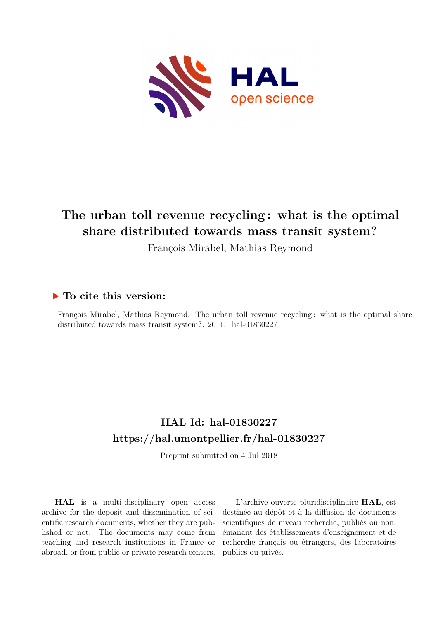

# **The urban toll revenue recycling : what is the optimal share distributed towards mass transit system?**

François Mirabel, Mathias Reymond

### **To cite this version:**

François Mirabel, Mathias Reymond. The urban toll revenue recycling : what is the optimal share distributed towards mass transit system?.  $2011.$  hal- $01830227$ 

## **HAL Id: hal-01830227 <https://hal.umontpellier.fr/hal-01830227>**

Preprint submitted on 4 Jul 2018

**HAL** is a multi-disciplinary open access archive for the deposit and dissemination of scientific research documents, whether they are published or not. The documents may come from teaching and research institutions in France or abroad, or from public or private research centers.

L'archive ouverte pluridisciplinaire **HAL**, est destinée au dépôt et à la diffusion de documents scientifiques de niveau recherche, publiés ou non, émanant des établissements d'enseignement et de recherche français ou étrangers, des laboratoires publics ou privés.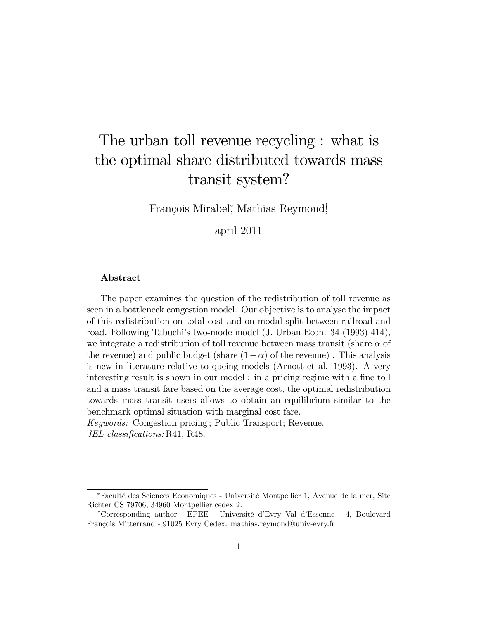# The urban toll revenue recycling : what is the optimal share distributed towards mass transit system?

François Mirabel,<sup>\*</sup> Mathias Reymond<sup>†</sup>,

april 2011

#### Abstract

The paper examines the question of the redistribution of toll revenue as seen in a bottleneck congestion model. Our objective is to analyse the impact of this redistribution on total cost and on modal split between railroad and road. Following Tabuchiís two-mode model (J. Urban Econ. 34 (1993) 414), we integrate a redistribution of toll revenue between mass transit (share  $\alpha$  of the revenue) and public budget (share  $(1-\alpha)$  of the revenue). This analysis is new in literature relative to queing models (Arnott et al. 1993). A very interesting result is shown in our model : in a pricing regime with a fine toll and a mass transit fare based on the average cost, the optimal redistribution towards mass transit users allows to obtain an equilibrium similar to the benchmark optimal situation with marginal cost fare. Keywords: Congestion pricing ; Public Transport; Revenue.

JEL classifications: R41, R48.

FacultÈ des Sciences Economiques - UniversitÈ Montpellier 1, Avenue de la mer, Site Richter CS 79706, 34960 Montpellier cedex 2.

<sup>&</sup>lt;sup>†</sup>Corresponding author. EPEE - Université d'Evry Val d'Essonne - 4, Boulevard François Mitterrand - 91025 Evry Cedex. mathias.reymond@univ-evry.fr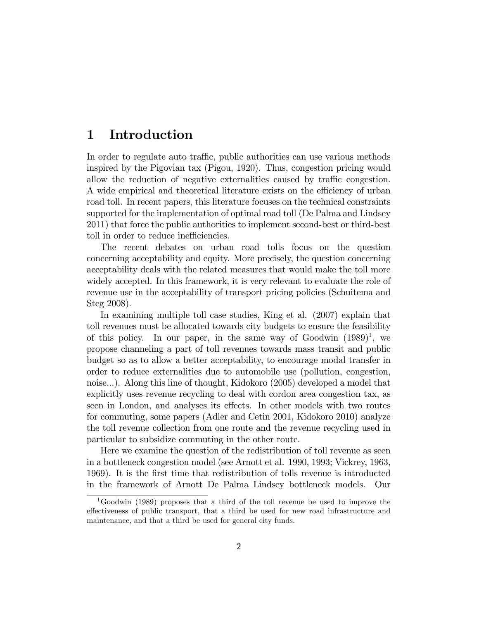### 1 Introduction

In order to regulate auto traffic, public authorities can use various methods inspired by the Pigovian tax (Pigou, 1920). Thus, congestion pricing would allow the reduction of negative externalities caused by traffic congestion. A wide empirical and theoretical literature exists on the efficiency of urban road toll. In recent papers, this literature focuses on the technical constraints supported for the implementation of optimal road toll (De Palma and Lindsey 2011) that force the public authorities to implement second-best or third-best toll in order to reduce inefficiencies.

The recent debates on urban road tolls focus on the question concerning acceptability and equity. More precisely, the question concerning acceptability deals with the related measures that would make the toll more widely accepted. In this framework, it is very relevant to evaluate the role of revenue use in the acceptability of transport pricing policies (Schuitema and Steg 2008).

In examining multiple toll case studies, King et al. (2007) explain that toll revenues must be allocated towards city budgets to ensure the feasibility of this policy. In our paper, in the same way of Goodwin  $(1989)^1$ , we propose channeling a part of toll revenues towards mass transit and public budget so as to allow a better acceptability, to encourage modal transfer in order to reduce externalities due to automobile use (pollution, congestion, noise...). Along this line of thought, Kidokoro (2005) developed a model that explicitly uses revenue recycling to deal with cordon area congestion tax, as seen in London, and analyses its effects. In other models with two routes for commuting, some papers (Adler and Cetin 2001, Kidokoro 2010) analyze the toll revenue collection from one route and the revenue recycling used in particular to subsidize commuting in the other route.

Here we examine the question of the redistribution of toll revenue as seen in a bottleneck congestion model (see Arnott et al. 1990, 1993; Vickrey, 1963, 1969). It is the Örst time that redistribution of tolls revenue is introducted in the framework of Arnott De Palma Lindsey bottleneck models. Our

<sup>1</sup>Goodwin (1989) proposes that a third of the toll revenue be used to improve the effectiveness of public transport, that a third be used for new road infrastructure and maintenance, and that a third be used for general city funds.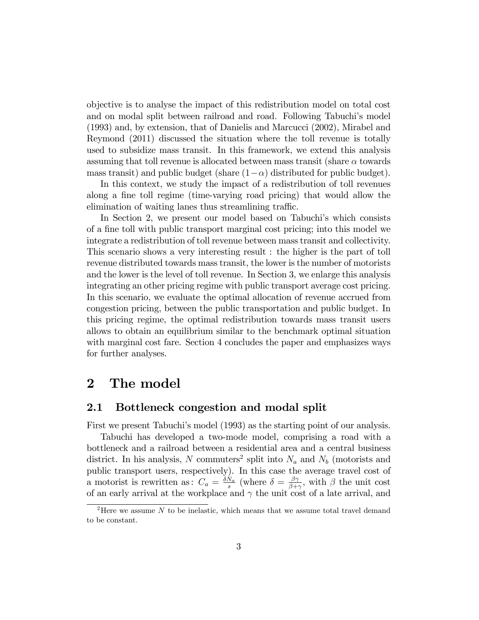objective is to analyse the impact of this redistribution model on total cost and on modal split between railroad and road. Following Tabuchi's model (1993) and, by extension, that of Danielis and Marcucci (2002), Mirabel and Reymond (2011) discussed the situation where the toll revenue is totally used to subsidize mass transit. In this framework, we extend this analysis assuming that toll revenue is allocated between mass transit (share  $\alpha$  towards mass transit) and public budget (share  $(1-\alpha)$  distributed for public budget).

In this context, we study the impact of a redistribution of toll revenues along a fine toll regime (time-varying road pricing) that would allow the elimination of waiting lanes thus streamlining traffic.

In Section 2, we present our model based on Tabuchi's which consists of a fine toll with public transport marginal cost pricing; into this model we integrate a redistribution of toll revenue between mass transit and collectivity. This scenario shows a very interesting result : the higher is the part of toll revenue distributed towards mass transit, the lower is the number of motorists and the lower is the level of toll revenue. In Section 3, we enlarge this analysis integrating an other pricing regime with public transport average cost pricing. In this scenario, we evaluate the optimal allocation of revenue accrued from congestion pricing, between the public transportation and public budget. In this pricing regime, the optimal redistribution towards mass transit users allows to obtain an equilibrium similar to the benchmark optimal situation with marginal cost fare. Section 4 concludes the paper and emphasizes ways for further analyses.

### 2 The model

#### 2.1 Bottleneck congestion and modal split

First we present Tabuchi's model (1993) as the starting point of our analysis.

Tabuchi has developed a two-mode model, comprising a road with a bottleneck and a railroad between a residential area and a central business district. In his analysis, N commuters<sup>2</sup> split into  $N_a$  and  $N_b$  (motorists and public transport users, respectively). In this case the average travel cost of a motorist is rewritten as:  $C_a = \frac{\delta N_a}{s}$  $\frac{N_a}{s}$  (where  $\delta = \frac{\beta \gamma}{\beta + \gamma}$  $\frac{\beta\gamma}{\beta+\gamma}$ , with  $\beta$  the unit cost of an early arrival at the workplace and  $\gamma$  the unit cost of a late arrival, and

<sup>&</sup>lt;sup>2</sup>Here we assume  $N$  to be inelastic, which means that we assume total travel demand to be constant.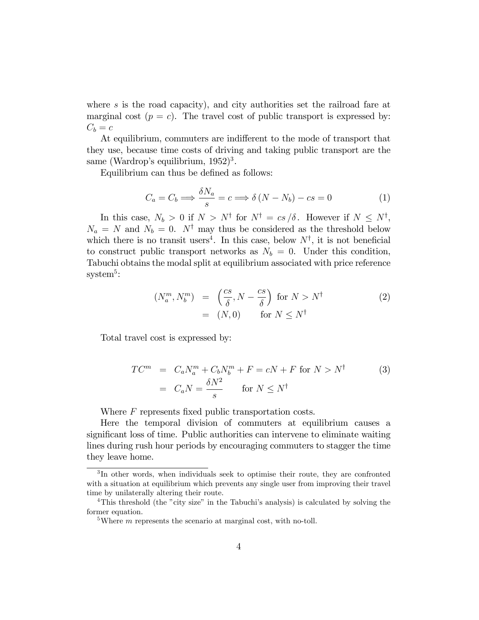where s is the road capacity), and city authorities set the railroad fare at marginal cost  $(p = c)$ . The travel cost of public transport is expressed by:  $C_b = c$ 

At equilibrium, commuters are indifferent to the mode of transport that they use, because time costs of driving and taking public transport are the same (Wardrop's equilibrium,  $1952)^3$ .

Equilibrium can thus be defined as follows:

$$
C_a = C_b \Longrightarrow \frac{\delta N_a}{s} = c \Longrightarrow \delta \left( N - N_b \right) - cs = 0 \tag{1}
$$

In this case,  $N_b > 0$  if  $N > N^{\dagger}$  for  $N^{\dagger} = cs/\delta$ . However if  $N \leq N^{\dagger}$ ,  $N_a = N$  and  $N_b = 0$ . N<sup>†</sup> may thus be considered as the threshold below which there is no transit users<sup>4</sup>. In this case, below  $N^{\dagger}$ , it is not beneficial to construct public transport networks as  $N_b = 0$ . Under this condition, Tabuchi obtains the modal split at equilibrium associated with price reference  $\text{system}^5$ :

$$
(N_a^m, N_b^m) = \left(\frac{cs}{\delta}, N - \frac{cs}{\delta}\right) \text{ for } N > N^{\dagger}
$$
  
= (N,0) for  $N \le N^{\dagger}$  (2)

Total travel cost is expressed by:

$$
TC^{m} = C_a N_a^{m} + C_b N_b^{m} + F = cN + F \text{ for } N > N^{\dagger}
$$
  
=  $C_a N = \frac{\delta N^2}{s}$  for  $N \le N^{\dagger}$  (3)

Where  $F$  represents fixed public transportation costs.

Here the temporal division of commuters at equilibrium causes a significant loss of time. Public authorities can intervene to eliminate waiting lines during rush hour periods by encouraging commuters to stagger the time they leave home.

<sup>3</sup> In other words, when individuals seek to optimise their route, they are confronted with a situation at equilibrium which prevents any single user from improving their travel time by unilaterally altering their route.

<sup>&</sup>lt;sup>4</sup>This threshold (the "city size" in the Tabuchi's analysis) is calculated by solving the former equation.

<sup>&</sup>lt;sup>5</sup>Where *m* represents the scenario at marginal cost, with no-toll.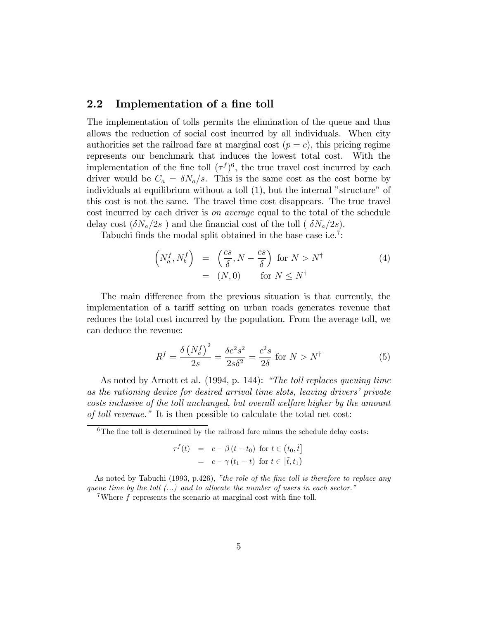#### 2.2 Implementation of a fine toll

The implementation of tolls permits the elimination of the queue and thus allows the reduction of social cost incurred by all individuals. When city authorities set the railroad fare at marginal cost  $(p = c)$ , this pricing regime represents our benchmark that induces the lowest total cost. With the implementation of the fine toll  $(\tau^f)^6$ , the true travel cost incurred by each driver would be  $C_a = \delta N_a/s$ . This is the same cost as the cost borne by individuals at equilibrium without a toll  $(1)$ , but the internal "structure" of this cost is not the same. The travel time cost disappears. The true travel cost incurred by each driver is on average equal to the total of the schedule delay cost  $(\delta N_a/2s)$  and the financial cost of the toll (  $\delta N_a/2s$ ).

Tabuchi finds the modal split obtained in the base case i.e.<sup>7</sup>:

$$
\begin{array}{rcl}\n\left(N_a^f, N_b^f\right) & = & \left(\frac{cs}{\delta}, N - \frac{cs}{\delta}\right) \text{ for } N > N^\dagger \\
& = & (N, 0) \qquad \text{for } N \le N^\dagger\n\end{array} \tag{4}
$$

The main difference from the previous situation is that currently, the implementation of a tariff setting on urban roads generates revenue that reduces the total cost incurred by the population. From the average toll, we can deduce the revenue:

$$
R^f = \frac{\delta \left(N_a^f\right)^2}{2s} = \frac{\delta c^2 s^2}{2s\delta^2} = \frac{c^2 s}{2\delta} \text{ for } N > N^\dagger \tag{5}
$$

As noted by Arnott et al.  $(1994, p. 144)$ : "The toll replaces queuing time as the rationing device for desired arrival time slots, leaving drivers' private costs inclusive of the toll unchanged, but overall welfare higher by the amount of toll revenue." It is then possible to calculate the total net cost:

 $6$ The fine toll is determined by the railroad fare minus the schedule delay costs:

$$
\tau^{f}(t) = c - \beta(t - t_{0}) \text{ for } t \in (t_{0}, \tilde{t}]
$$

$$
= c - \gamma(t_{1} - t) \text{ for } t \in [\tilde{t}, t_{1})
$$

As noted by Tabuchi (1993, p.426), "the role of the fine toll is therefore to replace any queue time by the toll  $(...)$  and to allocate the number of users in each sector.<sup>"</sup>

<sup>7</sup>Where  $f$  represents the scenario at marginal cost with fine toll.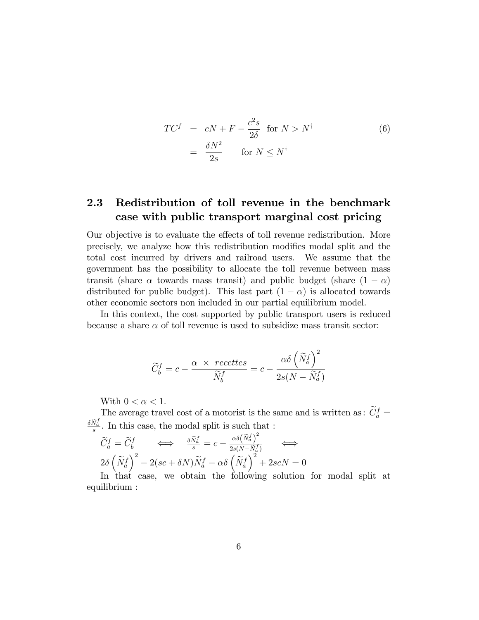$$
TC^{f} = cN + F - \frac{c^{2}s}{2\delta} \text{ for } N > N^{\dagger}
$$
  
=  $\frac{\delta N^{2}}{2s}$  for  $N \le N^{\dagger}$  (6)

### 2.3 Redistribution of toll revenue in the benchmark case with public transport marginal cost pricing

Our objective is to evaluate the effects of toll revenue redistribution. More precisely, we analyze how this redistribution modifies modal split and the total cost incurred by drivers and railroad users. We assume that the government has the possibility to allocate the toll revenue between mass transit (share  $\alpha$  towards mass transit) and public budget (share  $(1 - \alpha)$ ) distributed for public budget). This last part  $(1 - \alpha)$  is allocated towards other economic sectors non included in our partial equilibrium model.

In this context, the cost supported by public transport users is reduced because a share  $\alpha$  of toll revenue is used to subsidize mass transit sector:

$$
\widetilde{C}_{b}^{f} = c - \frac{\alpha \times \text{ }^\_ \text{ }^\circ}{\widetilde{N}_{b}^{f}} = c - \frac{\alpha \delta \left( \widetilde{N}_{a}^{f} \right)^{2}}{2s(N - \widetilde{N}_{a}^{f})}
$$

With  $0 < \alpha < 1$ .

The average travel cost of a motorist is the same and is written as:  $\tilde{C}_a^f$  =  $\frac{\delta \tilde{N}_a^f}{s}$ . In this case, the modal split is such that :

$$
\widetilde{C}_a^f = \widetilde{C}_b^f \iff \frac{\delta \widetilde{N}_a^f}{s} = c - \frac{\alpha \delta \left( \widetilde{N}_a^f \right)^2}{2s(N - \widetilde{N}_a^f)}
$$
\n
$$
2\delta \left( \widetilde{N}_a^f \right)^2 - 2(sc + \delta N) \widetilde{N}_a^f - \alpha \delta \left( \widetilde{N}_a^f \right)^2 + 2s cN = 0
$$
\nIn that,  $\cos \theta$ , we obtain the following solution

In that case, we obtain the following solution for modal split at equilibrium :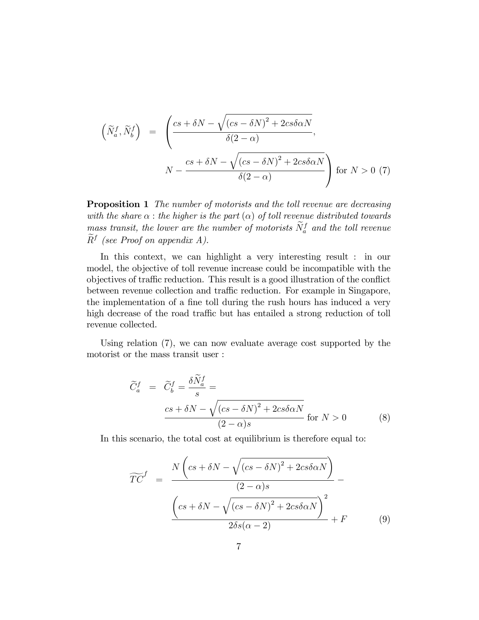$$
\left(\widetilde{N}_a^f, \widetilde{N}_b^f\right) = \left(\frac{cs + \delta N - \sqrt{(cs - \delta N)^2 + 2cs\delta\alpha N}}{\delta(2 - \alpha)},\n\right)
$$
\n
$$
N - \frac{cs + \delta N - \sqrt{(cs - \delta N)^2 + 2cs\delta\alpha N}}{\delta(2 - \alpha)}\right) \text{ for } N > 0 \tag{7}
$$

**Proposition 1** The number of motorists and the toll revenue are decreasing with the share  $\alpha$ : the higher is the part  $(\alpha)$  of toll revenue distributed towards mass transit, the lower are the number of motorists  $N_a^f$  and the toll revenue  $R^f$  (see Proof on appendix A).

In this context, we can highlight a very interesting result : in our model, the objective of toll revenue increase could be incompatible with the objectives of traffic reduction. This result is a good illustration of the conflict between revenue collection and traffic reduction. For example in Singapore, the implementation of a fine toll during the rush hours has induced a very high decrease of the road traffic but has entailed a strong reduction of toll revenue collected.

Using relation (7), we can now evaluate average cost supported by the motorist or the mass transit user :

$$
\widetilde{C}_a^f = \widetilde{C}_b^f = \frac{\delta \widetilde{N}_a^f}{s} =
$$
\n
$$
\frac{cs + \delta N - \sqrt{(cs - \delta N)^2 + 2cs \delta \alpha N}}{(2 - \alpha)s} \text{ for } N > 0
$$
\n(8)

In this scenario, the total cost at equilibrium is therefore equal to:

$$
\widetilde{TC}^f = \frac{N\left(cs + \delta N - \sqrt{(cs - \delta N)^2 + 2cs\delta\alpha N}\right)}{(2 - \alpha)s} - \frac{\left(cs + \delta N - \sqrt{(cs - \delta N)^2 + 2cs\delta\alpha N}\right)^2}{2\delta s(\alpha - 2)} + F
$$
(9)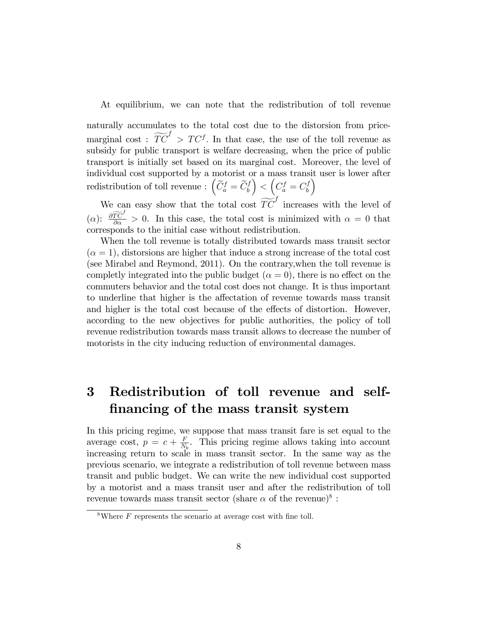At equilibrium, we can note that the redistribution of toll revenue

naturally accumulates to the total cost due to the distorsion from pricemarginal cost :  $\widetilde{TC}^f > TC^f$ . In that case, the use of the toll revenue as subsidy for public transport is welfare decreasing, when the price of public transport is initially set based on its marginal cost. Moreover, the level of individual cost supported by a motorist or a mass transit user is lower after redistribution of toll revenue :  $\left(\widetilde{C}_{a}^{f} = \widetilde{C}_{b}^{f}\right)$  $\Big\} < \Big( C_a^f = C_b^f$ b  $\overline{ }$ 

We can easy show that the total cost  $\widetilde{TC}^f$  increases with the level of ( $\alpha$ ):  $\frac{\partial \widetilde{T}\widetilde{C}^f}{\partial \alpha} > 0$ . In this case, the total cost is minimized with  $\alpha = 0$  that corresponds to the initial case without redistribution.

When the toll revenue is totally distributed towards mass transit sector  $(\alpha = 1)$ , distorsions are higher that induce a strong increase of the total cost (see Mirabel and Reymond, 2011). On the contrary,when the toll revenue is completly integrated into the public budget ( $\alpha = 0$ ), there is no effect on the commuters behavior and the total cost does not change. It is thus important to underline that higher is the affectation of revenue towards mass transit and higher is the total cost because of the effects of distortion. However, according to the new objectives for public authorities, the policy of toll revenue redistribution towards mass transit allows to decrease the number of motorists in the city inducing reduction of environmental damages.

## 3 Redistribution of toll revenue and selffinancing of the mass transit system

In this pricing regime, we suppose that mass transit fare is set equal to the average cost,  $p = c + \frac{F}{N}$  $\frac{F}{N_b}$ . This pricing regime allows taking into account increasing return to scale in mass transit sector. In the same way as the previous scenario, we integrate a redistribution of toll revenue between mass transit and public budget. We can write the new individual cost supported by a motorist and a mass transit user and after the redistribution of toll revenue towards mass transit sector (share  $\alpha$  of the revenue)<sup>8</sup>:

<sup>&</sup>lt;sup>8</sup>Where  $F$  represents the scenario at average cost with fine toll.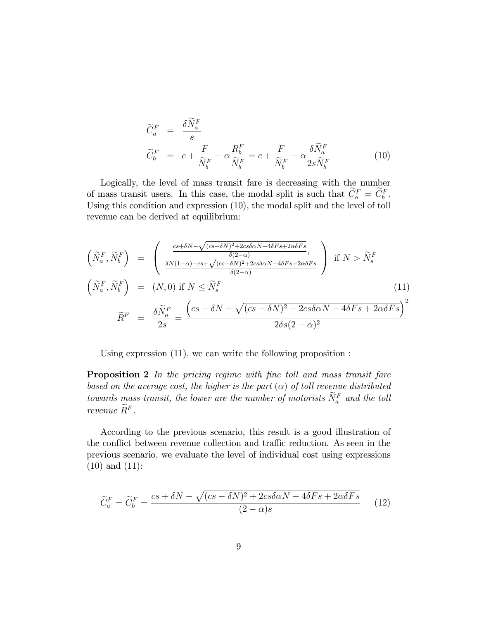$$
\widetilde{C}_{a}^{F} = \frac{\delta \widetilde{N}_{a}^{F}}{s}
$$
\n
$$
\widetilde{C}_{b}^{F} = c + \frac{F}{\widetilde{N}_{b}^{F}} - \alpha \frac{R_{b}^{F}}{\widetilde{N}_{b}^{F}} = c + \frac{F}{\widetilde{N}_{b}^{F}} - \alpha \frac{\delta \widetilde{N}_{a}^{F}}{2s \widetilde{N}_{b}^{F}}
$$
\n(10)

Logically, the level of mass transit fare is decreasing with the number of mass transit users. In this case, the modal split is such that  $C_a^F = C_b^F$ . Using this condition and expression (10), the modal split and the level of toll revenue can be derived at equilibrium:

$$
\begin{aligned}\n\left(\widetilde{N}_a^F, \widetilde{N}_b^F\right) &= \left(\frac{\frac{cs + \delta N - \sqrt{(cs - \delta N)^2 + 2cs\delta\alpha N - 4\delta Fs + 2\alpha\delta Fs}}{\delta(2-\alpha)}}{\frac{\delta N(1-\alpha) - cs + \sqrt{(cs - \delta N)^2 + 2cs\delta\alpha N - 4\delta Fs + 2\alpha\delta Fs}}{\delta(2-\alpha)}}\right) \text{ if } N > \widetilde{N}_s^F \\
\left(\widetilde{N}_a^F, \widetilde{N}_b^F\right) &= (N, 0) \text{ if } N \le \widetilde{N}_s^F \\
\widetilde{R}^F &= \frac{\delta \widetilde{N}_a^F}{2s} = \frac{\left(cs + \delta N - \sqrt{(cs - \delta N)^2 + 2cs\delta\alpha N - 4\delta Fs + 2\alpha\delta Fs}\right)^2}{2\delta s(2-\alpha)^2}\n\end{aligned}
$$
\n(11)

Using expression (11), we can write the following proposition :

**Proposition 2** In the pricing regime with fine toll and mass transit fare based on the average cost, the higher is the part  $(\alpha)$  of toll revenue distributed towards mass transit, the lower are the number of motorists  $N_a^F$  and the toll revenue  $\widetilde{R}^F$ .

According to the previous scenario, this result is a good illustration of the conflict between revenue collection and traffic reduction. As seen in the previous scenario, we evaluate the level of individual cost using expressions (10) and (11):

$$
\widetilde{C}_a^F = \widetilde{C}_b^F = \frac{cs + \delta N - \sqrt{(cs - \delta N)^2 + 2cs\delta\alpha N - 4\delta Fs + 2\alpha \delta Fs}}{(2 - \alpha)s}
$$
(12)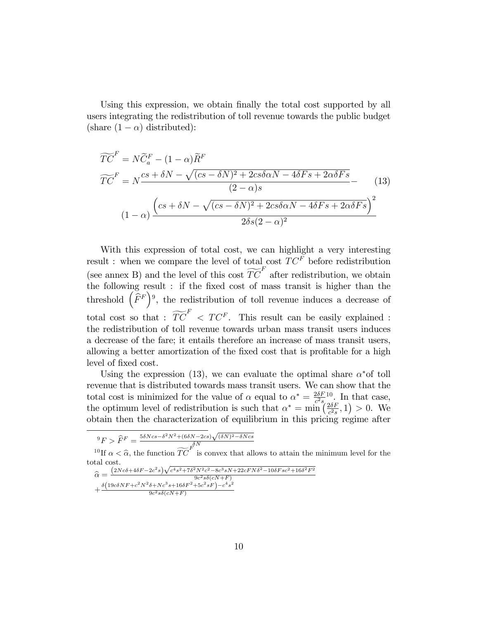Using this expression, we obtain finally the total cost supported by all users integrating the redistribution of toll revenue towards the public budget (share  $(1 - \alpha)$  distributed):

$$
\widetilde{TC}^{F} = N\widetilde{C}_{a}^{F} - (1 - \alpha)\widetilde{R}^{F}
$$

$$
\widetilde{TC}^{F} = N\frac{cs + \delta N - \sqrt{(cs - \delta N)^{2} + 2cs\delta\alpha N - 4\delta Fs + 2\alpha\delta Fs}}{(2 - \alpha)s} - (13)
$$

$$
(1 - \alpha)\frac{\left(cs + \delta N - \sqrt{(cs - \delta N)^{2} + 2cs\delta\alpha N - 4\delta Fs + 2\alpha\delta Fs}\right)^{2}}{2\delta s(2 - \alpha)^{2}}
$$

With this expression of total cost, we can highlight a very interesting result : when we compare the level of total cost  $TC^F$  before redistribution (see annex B) and the level of this cost  $\widetilde{TC}^F$  after redistribution, we obtain the following result : if the fixed cost of mass transit is higher than the threshold  $(\tilde{F}^F)^9$ , the redistribution of toll revenue induces a decrease of total cost so that :  $\widetilde{TC}^F$  <  $TC^F$ . This result can be easily explained : the redistribution of toll revenue towards urban mass transit users induces a decrease of the fare; it entails therefore an increase of mass transit users, allowing a better amortization of the fixed cost that is profitable for a high level of fixed cost.

Using the expression (13), we can evaluate the optimal share  $\alpha^*$  of toll revenue that is distributed towards mass transit users. We can show that the total cost is minimized for the value of  $\alpha$  equal to  $\alpha^* = \frac{2\delta F}{c^2 s}$  $\frac{2\delta F}{c^2 s}$ <sup>10</sup>. In that case, the optimum level of redistribution is such that  $\alpha^* = \min \left( \frac{2\delta F}{c^2 \epsilon} \right)$  $\frac{2\delta F}{c^2 s}, 1$  > 0. We obtain then the characterization of equilibrium in this pricing regime after

$$
\widehat{\Psi}_F > \widehat{F}^F = \frac{5\delta Ncs - \delta^2 N^2 + (6\delta N - 2cs)\sqrt{(\delta N)^2 - \delta Ncs}}{c^2}
$$

<sup>10</sup> If  $\alpha < \hat{\alpha}$ , the function  $\widetilde{TC}^{F}$  is convex that allows to attain the minimum level for the total cost.  $\overline{a}$  $\overline{2}$ 

$$
\begin{aligned}\n\widehat{\alpha} &= \frac{(2Nc\delta + 4\delta F - 2c^2s)\sqrt{c^4s^2 + 7\delta^2N^2c^2 - 8c^3sN + 22cFN\delta^2 - 10\delta Fsc^2 + 16\delta^2F}}{9c^2s\delta(cN+F)} \\
&+ \frac{\delta(19c\delta NF + c^2N^2\delta + Nc^3s + 16\delta F^2 + 5c^2sF) - c^4s^2}{9c^2s\delta(cN+F)}\n\end{aligned}
$$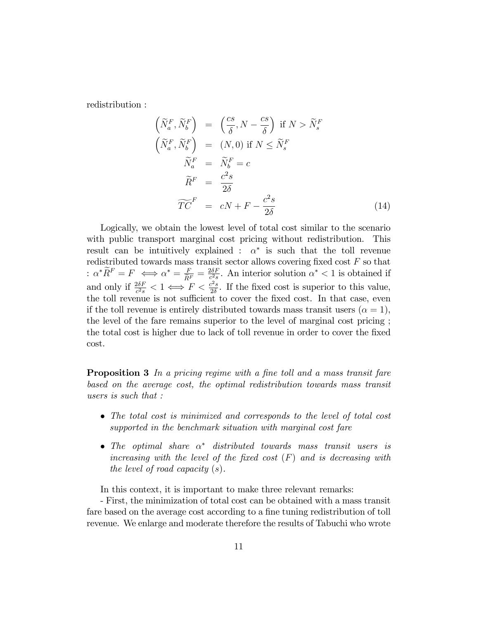redistribution :

 $\sqrt{ }$ 

 $\sqrt{ }$ 

$$
\widetilde{N}_a^F, \widetilde{N}_b^F \Big) = \left(\frac{cs}{\delta}, N - \frac{cs}{\delta}\right) \text{ if } N > \widetilde{N}_s^F
$$
\n
$$
\widetilde{N}_a^F, \widetilde{N}_b^F \Big) = (N, 0) \text{ if } N \le \widetilde{N}_s^F
$$
\n
$$
\widetilde{N}_a^F = \widetilde{N}_b^F = c
$$
\n
$$
\widetilde{R}^F = \frac{c^2 s}{2\delta}
$$
\n
$$
\widetilde{TC}^F = cN + F - \frac{c^2 s}{2\delta} \tag{14}
$$

Logically, we obtain the lowest level of total cost similar to the scenario with public transport marginal cost pricing without redistribution. This result can be intuitively explained :  $\alpha^*$  is such that the toll revenue redistributed towards mass transit sector allows covering fixed cost  $F$  so that :  $\alpha^* \widetilde{R}^F = F \iff \alpha^* = \frac{F}{\widetilde{R}^F} = \frac{2\delta F}{c^2 s}$  $\frac{2\delta F}{c^2 s}$ . An interior solution  $\alpha^* < 1$  is obtained if and only if  $\frac{2\delta F}{c^2 s} < 1 \Longleftrightarrow F < \frac{c^2 s}{2\delta}$  $\frac{2^{2}s}{2\delta}$ . If the fixed cost is superior to this value, the toll revenue is not sufficient to cover the fixed cost. In that case, even if the toll revenue is entirely distributed towards mass transit users  $(\alpha = 1)$ , the level of the fare remains superior to the level of marginal cost pricing ; the total cost is higher due to lack of toll revenue in order to cover the Öxed cost.

**Proposition 3** In a pricing regime with a fine toll and a mass transit fare based on the average cost, the optimal redistribution towards mass transit users is such that :

- The total cost is minimized and corresponds to the level of total cost supported in the benchmark situation with marginal cost fare
- The optimal share  $\alpha^*$  distributed towards mass transit users is increasing with the level of the fixed cost  $(F)$  and is decreasing with the level of road capacity (s).

In this context, it is important to make three relevant remarks:

- First, the minimization of total cost can be obtained with a mass transit fare based on the average cost according to a fine tuning redistribution of toll revenue. We enlarge and moderate therefore the results of Tabuchi who wrote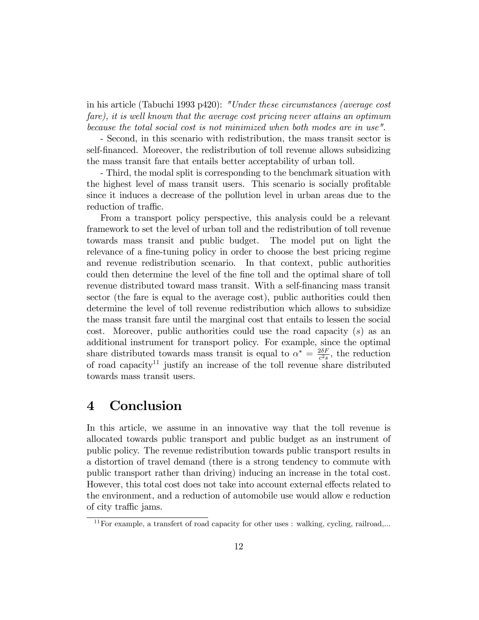in his article (Tabuchi 1993 p420): "Under these circumstances (average cost fare), it is well known that the average cost pricing never attains an optimum because the total social cost is not minimized when both modes are in use".

- Second, in this scenario with redistribution, the mass transit sector is self-financed. Moreover, the redistribution of toll revenue allows subsidizing the mass transit fare that entails better acceptability of urban toll.

- Third, the modal split is corresponding to the benchmark situation with the highest level of mass transit users. This scenario is socially profitable since it induces a decrease of the pollution level in urban areas due to the reduction of traffic.

From a transport policy perspective, this analysis could be a relevant framework to set the level of urban toll and the redistribution of toll revenue towards mass transit and public budget. The model put on light the relevance of a fine-tuning policy in order to choose the best pricing regime and revenue redistribution scenario. In that context, public authorities could then determine the level of the fine toll and the optimal share of toll revenue distributed toward mass transit. With a self-Önancing mass transit sector (the fare is equal to the average cost), public authorities could then determine the level of toll revenue redistribution which allows to subsidize the mass transit fare until the marginal cost that entails to lessen the social cost. Moreover, public authorities could use the road capacity (s) as an additional instrument for transport policy. For example, since the optimal share distributed towards mass transit is equal to  $\alpha^* = \frac{2\delta F}{c^2 s}$  $\frac{2\delta F}{c^2 s}$ , the reduction of road capacity<sup>11</sup> justify an increase of the toll revenue share distributed towards mass transit users.

### 4 Conclusion

In this article, we assume in an innovative way that the toll revenue is allocated towards public transport and public budget as an instrument of public policy. The revenue redistribution towards public transport results in a distortion of travel demand (there is a strong tendency to commute with public transport rather than driving) inducing an increase in the total cost. However, this total cost does not take into account external effects related to the environment, and a reduction of automobile use would allow e reduction of city traffic jams.

<sup>&</sup>lt;sup>11</sup>For example, a transfert of road capacity for other uses : walking, cycling, railroad,...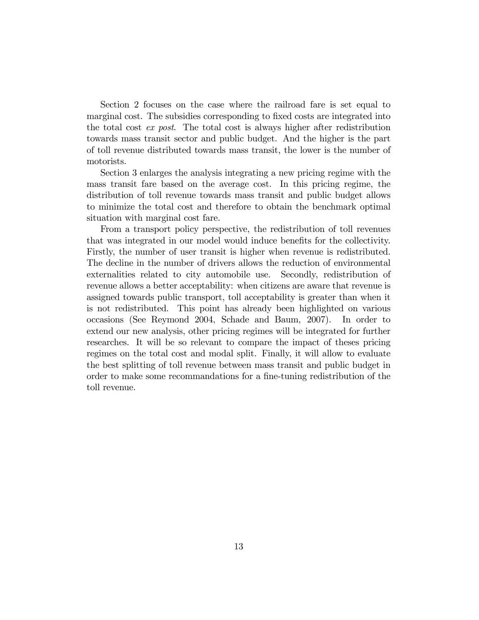Section 2 focuses on the case where the railroad fare is set equal to marginal cost. The subsidies corresponding to fixed costs are integrated into the total cost ex post. The total cost is always higher after redistribution towards mass transit sector and public budget. And the higher is the part of toll revenue distributed towards mass transit, the lower is the number of motorists.

Section 3 enlarges the analysis integrating a new pricing regime with the mass transit fare based on the average cost. In this pricing regime, the distribution of toll revenue towards mass transit and public budget allows to minimize the total cost and therefore to obtain the benchmark optimal situation with marginal cost fare.

From a transport policy perspective, the redistribution of toll revenues that was integrated in our model would induce benefits for the collectivity. Firstly, the number of user transit is higher when revenue is redistributed. The decline in the number of drivers allows the reduction of environmental externalities related to city automobile use. Secondly, redistribution of revenue allows a better acceptability: when citizens are aware that revenue is assigned towards public transport, toll acceptability is greater than when it is not redistributed. This point has already been highlighted on various occasions (See Reymond 2004, Schade and Baum, 2007). In order to extend our new analysis, other pricing regimes will be integrated for further researches. It will be so relevant to compare the impact of theses pricing regimes on the total cost and modal split. Finally, it will allow to evaluate the best splitting of toll revenue between mass transit and public budget in order to make some recommandations for a fine-tuning redistribution of the toll revenue.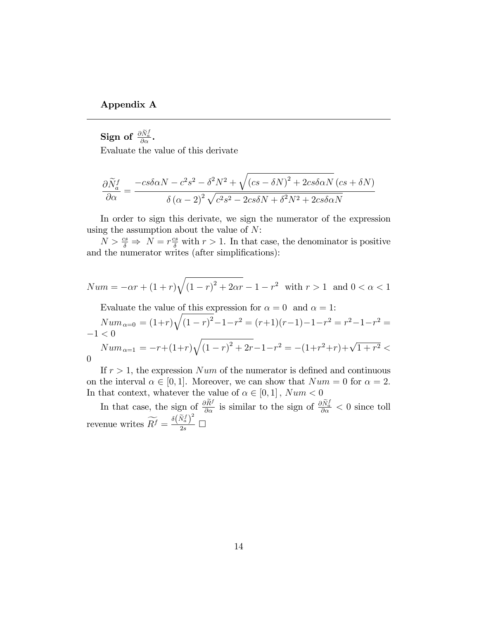#### Appendix A

Sign of  $\frac{\partial \widetilde{N}^f_a}{\partial \alpha}$ .

Evaluate the value of this derivate

$$
\frac{\partial \widetilde{N}_a^f}{\partial \alpha} = \frac{-cs\delta \alpha N - c^2 s^2 - \delta^2 N^2 + \sqrt{(cs - \delta N)^2 + 2cs\delta \alpha N} \left( cs + \delta N \right)}{\delta \left( \alpha - 2 \right)^2 \sqrt{c^2 s^2 - 2cs\delta N + \delta^2 N^2 + 2cs\delta \alpha N}}
$$

In order to sign this derivate, we sign the numerator of the expression using the assumption about the value of  $N$ :

 $N > \frac{cs}{\delta} \Rightarrow N = r \frac{cs}{\delta}$  with  $r > 1$ . In that case, the denominator is positive and the numerator writes (after simplifications):

$$
Num = -\alpha r + (1+r)\sqrt{(1-r)^2 + 2\alpha r} - 1 - r^2
$$
 with  $r > 1$  and  $0 < \alpha < 1$ 

Evaluate the value of this expression for  $\alpha = 0$  and  $\alpha = 1$ :

$$
Num_{\alpha=0} = (1+r)\sqrt{(1-r)^2} - 1 - r^2 = (r+1)(r-1) - 1 - r^2 = r^2 - 1 - r^2 = -1 < 0
$$
  
\n
$$
Num_{\alpha=1} = -r + (1+r)\sqrt{(1-r)^2 + 2r - 1 - r^2} = -(1+r^2+r) + \sqrt{1+r^2} <
$$

| ٦ | v                 |
|---|-------------------|
|   |                   |
|   | I<br>I<br>۰.<br>٠ |

If  $r > 1$ , the expression Num of the numerator is defined and continuous on the interval  $\alpha \in [0, 1]$ . Moreover, we can show that  $Num = 0$  for  $\alpha = 2$ .<br>In that context, whatever the value of  $\alpha \in [0, 1]$ ,  $Num < 0$ In that context, whatever the value of  $\alpha \in [0, 1]$ ,  $Num < 0$ 

In that case, the sign of  $\frac{\partial \tilde{R}^f}{\partial \alpha}$  is similar to the sign of  $\frac{\partial \tilde{N}_a^f}{\partial \alpha} < 0$  since toll revenue writes  $\widetilde{R}^f = \frac{{\delta {{(\widetilde{N}_a^f)}^2}}}{{2s}}$  $\frac{a}{2s}$   $\Box$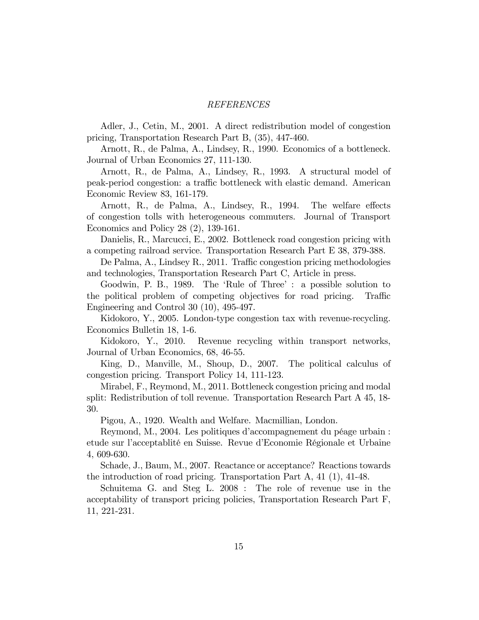#### REFERENCES

Adler, J., Cetin, M., 2001. A direct redistribution model of congestion pricing, Transportation Research Part B, (35), 447-460.

Arnott, R., de Palma, A., Lindsey, R., 1990. Economics of a bottleneck. Journal of Urban Economics 27, 111-130.

Arnott, R., de Palma, A., Lindsey, R., 1993. A structural model of peak-period congestion: a traffic bottleneck with elastic demand. American Economic Review 83, 161-179.

Arnott, R., de Palma, A., Lindsey, R., 1994. The welfare effects of congestion tolls with heterogeneous commuters. Journal of Transport Economics and Policy 28 (2), 139-161.

Danielis, R., Marcucci, E., 2002. Bottleneck road congestion pricing with a competing railroad service. Transportation Research Part E 38, 379-388.

De Palma, A., Lindsey R., 2011. Traffic congestion pricing methodologies and technologies, Transportation Research Part C, Article in press.

Goodwin, P. B., 1989. The 'Rule of Three': a possible solution to the political problem of competing objectives for road pricing. Traffic Engineering and Control 30 (10), 495-497.

Kidokoro, Y., 2005. London-type congestion tax with revenue-recycling. Economics Bulletin 18, 1-6.

Kidokoro, Y., 2010. Revenue recycling within transport networks, Journal of Urban Economics, 68, 46-55.

King, D., Manville, M., Shoup, D., 2007. The political calculus of congestion pricing. Transport Policy 14, 111-123.

Mirabel, F., Reymond, M., 2011. Bottleneck congestion pricing and modal split: Redistribution of toll revenue. Transportation Research Part A 45, 18- 30.

Pigou, A., 1920. Wealth and Welfare. Macmillian, London.

Reymond, M., 2004. Les politiques d'accompagnement du péage urbain : etude sur l'acceptablité en Suisse. Revue d'Economie Régionale et Urbaine 4, 609-630.

Schade, J., Baum, M., 2007. Reactance or acceptance? Reactions towards the introduction of road pricing. Transportation Part A, 41 (1), 41-48.

Schuitema G. and Steg L. 2008 : The role of revenue use in the acceptability of transport pricing policies, Transportation Research Part F, 11, 221-231.